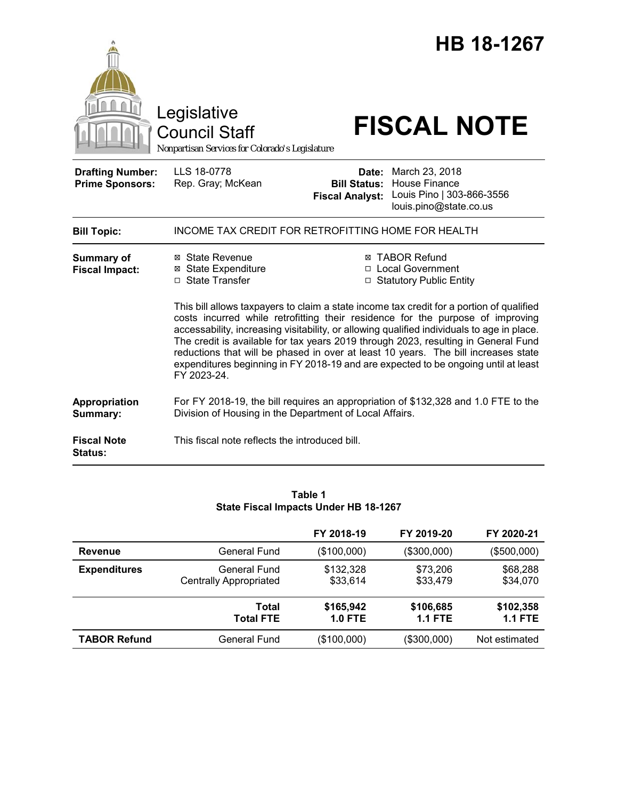

#### **Table 1 State Fiscal Impacts Under HB 18-1267**

|                     |                                               | FY 2018-19                  | FY 2019-20                  | FY 2020-21                  |
|---------------------|-----------------------------------------------|-----------------------------|-----------------------------|-----------------------------|
| Revenue             | General Fund                                  | (\$100,000)                 | (\$300,000)                 | (\$500,000)                 |
| <b>Expenditures</b> | General Fund<br><b>Centrally Appropriated</b> | \$132.328<br>\$33,614       | \$73,206<br>\$33,479        | \$68,288<br>\$34,070        |
|                     | Total<br><b>Total FTE</b>                     | \$165,942<br><b>1.0 FTE</b> | \$106,685<br><b>1.1 FTE</b> | \$102,358<br><b>1.1 FTE</b> |
| <b>TABOR Refund</b> | General Fund                                  | (\$100,000)                 | (\$300,000)                 | Not estimated               |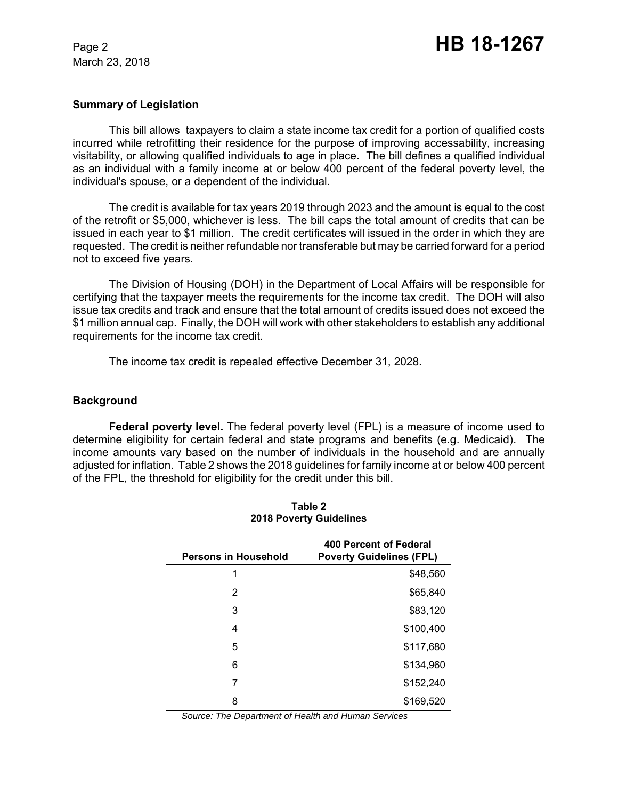#### **Summary of Legislation**

This bill allows taxpayers to claim a state income tax credit for a portion of qualified costs incurred while retrofitting their residence for the purpose of improving accessability, increasing visitability, or allowing qualified individuals to age in place. The bill defines a qualified individual as an individual with a family income at or below 400 percent of the federal poverty level, the individual's spouse, or a dependent of the individual.

The credit is available for tax years 2019 through 2023 and the amount is equal to the cost of the retrofit or \$5,000, whichever is less. The bill caps the total amount of credits that can be issued in each year to \$1 million. The credit certificates will issued in the order in which they are requested. The credit is neither refundable nor transferable but may be carried forward for a period not to exceed five years.

The Division of Housing (DOH) in the Department of Local Affairs will be responsible for certifying that the taxpayer meets the requirements for the income tax credit. The DOH will also issue tax credits and track and ensure that the total amount of credits issued does not exceed the \$1 million annual cap. Finally, the DOH will work with other stakeholders to establish any additional requirements for the income tax credit.

The income tax credit is repealed effective December 31, 2028.

#### **Background**

**Federal poverty level.** The federal poverty level (FPL) is a measure of income used to determine eligibility for certain federal and state programs and benefits (e.g. Medicaid). The income amounts vary based on the number of individuals in the household and are annually adjusted for inflation. Table 2 shows the 2018 guidelines for family income at or below 400 percent of the FPL, the threshold for eligibility for the credit under this bill.

| <b>Persons in Household</b> | 400 Percent of Federal<br><b>Poverty Guidelines (FPL)</b> |
|-----------------------------|-----------------------------------------------------------|
| 1                           | \$48,560                                                  |
| 2                           | \$65,840                                                  |
| 3                           | \$83,120                                                  |
| 4                           | \$100,400                                                 |
| 5                           | \$117,680                                                 |
| 6                           | \$134,960                                                 |
| 7                           | \$152,240                                                 |
| 8                           | \$169,520                                                 |

#### **Table 2 2018 Poverty Guidelines**

*Source: The Department of Health and Human Services*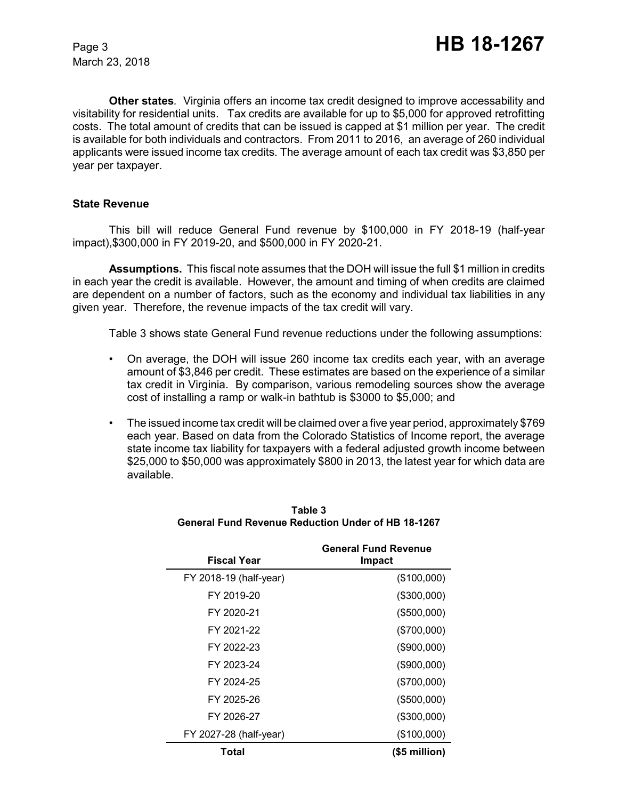**Other states***.* Virginia offers an income tax credit designed to improve accessability and visitability for residential units. Tax credits are available for up to \$5,000 for approved retrofitting costs. The total amount of credits that can be issued is capped at \$1 million per year. The credit is available for both individuals and contractors. From 2011 to 2016, an average of 260 individual applicants were issued income tax credits. The average amount of each tax credit was \$3,850 per year per taxpayer.

#### **State Revenue**

This bill will reduce General Fund revenue by \$100,000 in FY 2018-19 (half-year impact),\$300,000 in FY 2019-20, and \$500,000 in FY 2020-21.

**Assumptions.** This fiscal note assumes that the DOH will issue the full \$1 million in credits in each year the credit is available. However, the amount and timing of when credits are claimed are dependent on a number of factors, such as the economy and individual tax liabilities in any given year. Therefore, the revenue impacts of the tax credit will vary.

Table 3 shows state General Fund revenue reductions under the following assumptions:

- On average, the DOH will issue 260 income tax credits each year, with an average amount of \$3,846 per credit. These estimates are based on the experience of a similar tax credit in Virginia. By comparison, various remodeling sources show the average cost of installing a ramp or walk-in bathtub is \$3000 to \$5,000; and
- The issued income tax credit will be claimed over a five year period, approximately \$769 each year. Based on data from the Colorado Statistics of Income report, the average state income tax liability for taxpayers with a federal adjusted growth income between \$25,000 to \$50,000 was approximately \$800 in 2013, the latest year for which data are available.

|                        | <b>General Fund Revenue</b> |
|------------------------|-----------------------------|
| <b>Fiscal Year</b>     | Impact                      |
| FY 2018-19 (half-year) | (\$100,000)                 |
| FY 2019-20             | (\$300,000)                 |
| FY 2020-21             | (\$500,000)                 |
| FY 2021-22             | (\$700,000)                 |
| FY 2022-23             | (\$900,000)                 |
| FY 2023-24             | (\$900,000)                 |
| FY 2024-25             | (\$700,000)                 |
| FY 2025-26             | (\$500,000)                 |
| FY 2026-27             | (\$300,000)                 |
| FY 2027-28 (half-year) | (\$100,000)                 |
| Total                  | (\$5 million)               |

| Table 3                                            |  |
|----------------------------------------------------|--|
| General Fund Revenue Reduction Under of HB 18-1267 |  |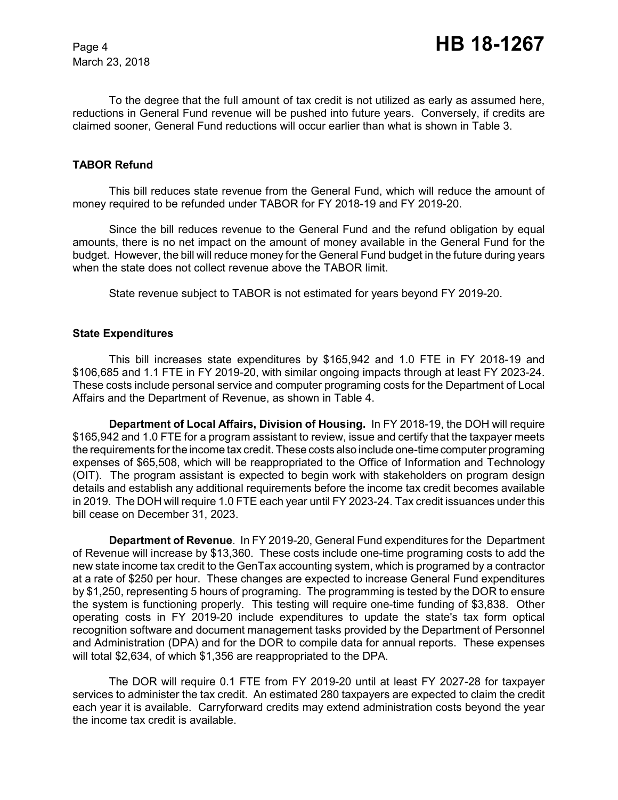To the degree that the full amount of tax credit is not utilized as early as assumed here, reductions in General Fund revenue will be pushed into future years. Conversely, if credits are claimed sooner, General Fund reductions will occur earlier than what is shown in Table 3.

#### **TABOR Refund**

This bill reduces state revenue from the General Fund, which will reduce the amount of money required to be refunded under TABOR for FY 2018-19 and FY 2019-20.

Since the bill reduces revenue to the General Fund and the refund obligation by equal amounts, there is no net impact on the amount of money available in the General Fund for the budget. However, the bill will reduce money for the General Fund budget in the future during years when the state does not collect revenue above the TABOR limit.

State revenue subject to TABOR is not estimated for years beyond FY 2019-20.

#### **State Expenditures**

This bill increases state expenditures by \$165,942 and 1.0 FTE in FY 2018-19 and \$106,685 and 1.1 FTE in FY 2019-20, with similar ongoing impacts through at least FY 2023-24. These costs include personal service and computer programing costs for the Department of Local Affairs and the Department of Revenue, as shown in Table 4.

**Department of Local Affairs, Division of Housing.** In FY 2018-19, the DOH will require \$165,942 and 1.0 FTE for a program assistant to review, issue and certify that the taxpayer meets the requirements for the income tax credit. These costs also include one-time computer programing expenses of \$65,508, which will be reappropriated to the Office of Information and Technology (OIT). The program assistant is expected to begin work with stakeholders on program design details and establish any additional requirements before the income tax credit becomes available in 2019. The DOH will require 1.0 FTE each year until FY 2023-24. Tax credit issuances under this bill cease on December 31, 2023.

**Department of Revenue**. In FY 2019-20, General Fund expenditures for the Department of Revenue will increase by \$13,360. These costs include one-time programing costs to add the new state income tax credit to the GenTax accounting system, which is programed by a contractor at a rate of \$250 per hour. These changes are expected to increase General Fund expenditures by \$1,250, representing 5 hours of programing. The programming is tested by the DOR to ensure the system is functioning properly. This testing will require one-time funding of \$3,838. Other operating costs in FY 2019-20 include expenditures to update the state's tax form optical recognition software and document management tasks provided by the Department of Personnel and Administration (DPA) and for the DOR to compile data for annual reports. These expenses will total \$2,634, of which \$1,356 are reappropriated to the DPA.

The DOR will require 0.1 FTE from FY 2019-20 until at least FY 2027-28 for taxpayer services to administer the tax credit. An estimated 280 taxpayers are expected to claim the credit each year it is available. Carryforward credits may extend administration costs beyond the year the income tax credit is available.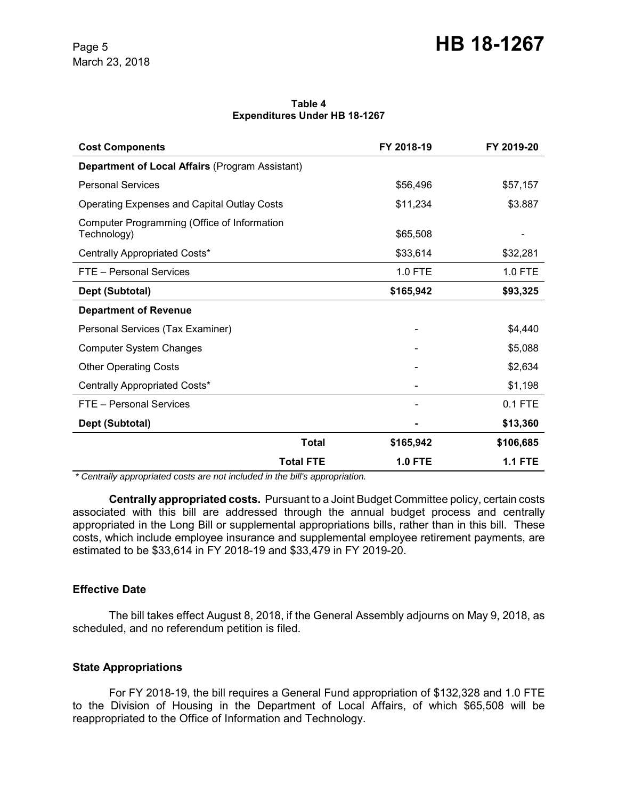#### **Table 4 Expenditures Under HB 18-1267**

| <b>Cost Components</b>                                     |                  | FY 2018-19     | FY 2019-20     |
|------------------------------------------------------------|------------------|----------------|----------------|
| Department of Local Affairs (Program Assistant)            |                  |                |                |
| <b>Personal Services</b>                                   |                  | \$56,496       | \$57,157       |
| <b>Operating Expenses and Capital Outlay Costs</b>         |                  | \$11,234       | \$3.887        |
| Computer Programming (Office of Information<br>Technology) |                  | \$65,508       |                |
| Centrally Appropriated Costs*                              |                  | \$33,614       | \$32,281       |
| FTE - Personal Services                                    |                  | $1.0$ FTE      | 1.0 FTE        |
| Dept (Subtotal)                                            |                  | \$165,942      | \$93,325       |
| <b>Department of Revenue</b>                               |                  |                |                |
| Personal Services (Tax Examiner)                           |                  |                | \$4,440        |
| <b>Computer System Changes</b>                             |                  |                | \$5,088        |
| <b>Other Operating Costs</b>                               |                  |                | \$2,634        |
| Centrally Appropriated Costs*                              |                  |                | \$1,198        |
| FTE - Personal Services                                    |                  |                | 0.1 FTE        |
| Dept (Subtotal)                                            |                  |                | \$13,360       |
|                                                            | <b>Total</b>     | \$165,942      | \$106,685      |
|                                                            | <b>Total FTE</b> | <b>1.0 FTE</b> | <b>1.1 FTE</b> |

 *\* Centrally appropriated costs are not included in the bill's appropriation.*

**Centrally appropriated costs.** Pursuant to a Joint Budget Committee policy, certain costs associated with this bill are addressed through the annual budget process and centrally appropriated in the Long Bill or supplemental appropriations bills, rather than in this bill. These costs, which include employee insurance and supplemental employee retirement payments, are estimated to be \$33,614 in FY 2018-19 and \$33,479 in FY 2019-20.

### **Effective Date**

The bill takes effect August 8, 2018, if the General Assembly adjourns on May 9, 2018, as scheduled, and no referendum petition is filed.

#### **State Appropriations**

For FY 2018-19, the bill requires a General Fund appropriation of \$132,328 and 1.0 FTE to the Division of Housing in the Department of Local Affairs, of which \$65,508 will be reappropriated to the Office of Information and Technology.